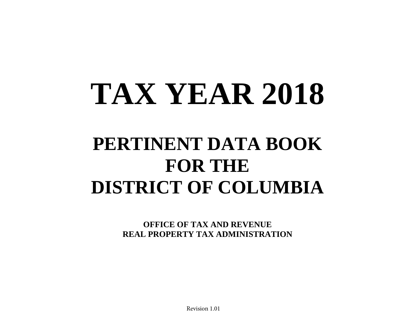# **TAX YEAR 2018**

# **PERTINENT DATA BOOK FOR THE DISTRICT OF COLUMBIA**

**OFFICE OF TAX AND REVENUE REAL PROPERTY TAX ADMINISTRATION**

Revision 1.01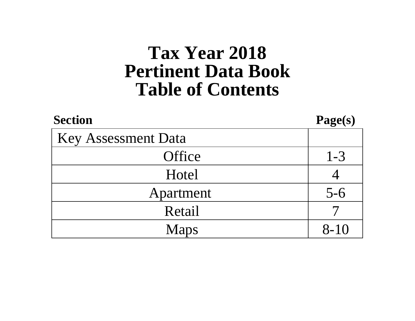# **Table of Contents Pertinent Data Book Tax Year 2018**

| <b>Section</b>             | Page(s)  |
|----------------------------|----------|
| <b>Key Assessment Data</b> |          |
| Office                     | $1 - 3$  |
| Hotel                      |          |
| Apartment                  | $5 - 6$  |
| Retail                     |          |
| <b>Maps</b>                | $8 - 10$ |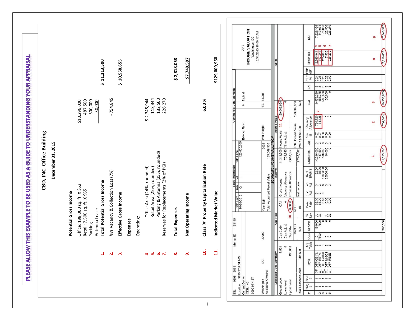$\begin{array}{r} \textbf{,} 229, 336 \\ \textbf{340}, 031 \\ \textbf{375}, 000 \\ \textbf{22}, 500 \\ \textbf{-226}, 270 \end{array}$ 7.740.597 INCOME VALUATION 12/31/2015 10:00:17 AM  $\overline{Q}$ G) Washington, DC 2017 in io  $\overline{ }$ 2.345.944<br>113.344<br>125,000<br>726,270<br>226,270 2,818,058 Expenses PLEASE ALLOW THIS EXAMPLE TO BE USED AS A GUIDE TO UNDERSTANDING YOUR APPRAISAL. \$129,009,950  $\infty$ **11. Indicated Market Value \$129,009,950**  $-52,818,058$ \$7,740,597 **9. Net Operating Income \$7,740,597 8. Total Expenses ‐ \$ 2,818,058** \$11,313,500 **1. Total Potential Gross Income \$ 11,313,500** \$10,558,655 **3. Effective Gross Income \$ 10,558,655 Jote:** EXP<br>/SF EXP<br>% 24<br>038888 EXP onnon Commercial Data Elements 9,575,280<br>453,375<br>500,000<br>30,000 10,558,655 Typical 7.6098 113,344 500,000  $-754,845$ **2.** *less* Vacancy & Collection Loss (7%) ‐ 754,845 132,500 6.00% 30,000 \$2,345,944 **5.** Retail Area (25%, rounded) 113,344 **6.** Parking & Antenna (25%, rounded) 132,500 226,270 **7.** Reserves for Replacements (2% of PGI) 226,270 \$10,296,000 487,500 **4** Office Area (24%, rounded) \$ 2,345,944 **10. Class 'A' Property Capitalization Rate 6.00 %** Value<br>(129,009,950)  $\overline{6}$ Office: 198,000 sq. ft. X \$52 \$10,296,000 Retail: 7,500 sq. ft. X \$65 487,500 Parking Parking  $\sim$ Antenna Lease 30,000 129,009,950<br>628 m  $12.$  $\circ$ 2 (754,845) 720,720 Vacancy<br>Allowance  $000$  $\mathbf{\tilde{z}}$  $rac{1}{\sqrt{1}}$ Exterior Finish Total Income Value Wall Height Value per SF/Unit Income Value CBD, INC. Office Building **CBD, INC. Office Building** Vac<br>% Other Adjust Sale Price<br>125,000,000 Vac ດຕຕຕຕ December 31, 2015 **December 31, 2015** 2005 10,296,000<br>487,500<br>500,000<br>30,000 11,313,500 11,313,500 754,845 7,740,597 Gross Rent Parking & Antenna (25%, rounded)  $\overline{\phantom{a}}$ Reserves for Replacements (2% of PGI) Class 'A' Property Capitalization Rate  $\begin{tabular}{l|c|c|c} \hline \text{Safe Date} & \text{QU} & \text{M} & \text{m  
10-28-2013 & \text{$\text{Q}$} & \text{I} & \text{I} & \text{I} & \text{I} & \text{I} & \text{I} & \text{I} & \text{I} & \text{I} & \text{I} & \text{I} & \text{I} & \text{I} & \text{I} & \text{I} & \text{I} & \text{I} & \text{I} & \text{I} & \text{I} & \text{I} & \text{I} & \text{I} & \text{I} & \text{I} & \text{I} &$ Office Area (24%, rounded) Retail Area (25%, rounded)  $\begin{array}{r} 52.00 \\ 52.00 \\ 65.00 \\ 500000.0 \\ 30000.00 \end{array}$ Rent<br>SF/Unit less Vacancy & Collection Loss (7%) Vacancy Allowance<br>Expense Allowance Gross Income **Total Potential Gross Income** Loc<br>Adj Net Income nnnnn Office: 198,000 sq. ft. X \$52 Retail: 7,500 sq. ft. X \$65 **DSe** Indicated Market Value Potential Gross Income **Potential Gross Income** Effective Gross Income ოოო Net Operating Income 888888 Year Built  $\bigcirc$ **B** Base<br>Rate **NB**  $\overline{0}$ Antenna Lease **Total Expenses** E N<br>Lev 56556  $\overline{a}$ Operating: 183145 **Expenses** gg; **SF/Unit**  $500$ Parking Cap Adjust<br>Cap Rate Rent ID Cap Code 001 20002 Internal ID **OCC**  $-0.00000$ Adj<br>Table က က **ယ** ယ ယ 198,000 7,500  $\circ$ 205,500  $\mathbf{H}$ ă, OFFICE CL<br>OFF RETAI<br>OFF PARKI<br>OFF MISC I<br>OFF RESE  $\begin{array}{ccc} \n 4 & \n 16 & \n 16 & \n 18 & \n 18 & \n 19 & \n 19 & \n 19 & \n 19 & \n 19 & \n 19 & \n 19 & \n 19 & \n 19 & \n 19 & \n 19 & \n 19 & \n 19 & \n 19 & \n 19 & \n 19 & \n 19 & \n 19 & \n 19 & \n 19 & \n 19 & \n 19 & \n 19 & \n 19 & \n 19 & \n 19 & \n 19 & \n 19 & \n 19 & \n 19 & \n 1$ ထံ  $\ddot{+}$ ൎ ്ന് ் WN TS HTG 6666 Style DC 9999 8888 Total Leaseable Area 50'0'0'0' Washington<br>Additional Owners: **Leaseable** Location 99<br>Current Owner<br>CDB, INC Sect<br>#  $- - - -$ **1S H16 6666** Ground Level Lower level Upper Level Bldg<br>#  $- - -$ **SSL**  $\#$  $\sim$   $\sim$   $+$   $\sim$ 

1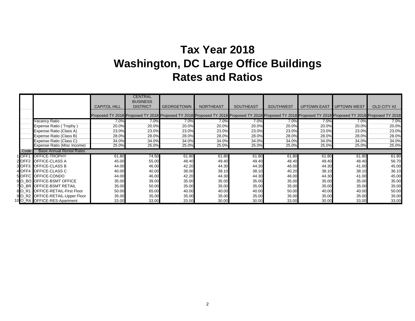### **Tax Year 2018 Washington, DC Large Office Buildings Rates and Ratios**

|                    |                                  |                                                                                                                                                                           | <b>CENTRAL</b><br><b>BUSINESS</b> |                   |                  |                  |                  |                    |                    |             |
|--------------------|----------------------------------|---------------------------------------------------------------------------------------------------------------------------------------------------------------------------|-----------------------------------|-------------------|------------------|------------------|------------------|--------------------|--------------------|-------------|
|                    |                                  | <b>CAPITOL HILL</b>                                                                                                                                                       | <b>DISTRICT</b>                   | <b>GEORGETOWN</b> | <b>NORTHEAST</b> | <b>SOUTHEAST</b> | <b>SOUTHWEST</b> | <b>UPTOWN EAST</b> | <b>UPTOWN WEST</b> | OLD CITY #2 |
|                    |                                  | Proposed TY 2018 Proposed TY 2018 Proposed TY 2018 Proposed TY 2018 Proposed TY 2018 Proposed TY 2018 Proposed TY 2018 Proposed TY 2018 Proposed TY 2018 Proposed TY 2018 |                                   |                   |                  |                  |                  |                    |                    |             |
|                    | Vacancy Ratio                    | 7.0%                                                                                                                                                                      | 7.0%                              | 7.0%              | 7.0%             | 7.0%             | 7.0%             | 7.0%               | 7.0%               | 7.0%        |
|                    | Expense Ratio (Trophy)           | 20.0%                                                                                                                                                                     | 20.0%                             | 20.0%             | 20.0%            | 20.0%            | 20.0%            | 20.0%              | 20.0%              | 20.0%       |
|                    | Expense Ratio (Class A)          | 23.0%                                                                                                                                                                     | 23.0%                             | 23.0%             | 23.0%            | 23.0%            | 23.0%            | 23.0%              | 23.0%              | 23.0%       |
|                    | Expense Ratio (Class B)          | 28.0%                                                                                                                                                                     | 28.0%                             | 28.0%             | 28.0%            | 28.0%            | 28.0%            | 28.0%              | 28.0%              | 28.0%       |
|                    | Expense Ratio (Class C)          | 34.0%                                                                                                                                                                     | 34.0%                             | 34.0%             | 34.0%            | 34.0%            | 34.0%            | 34.0%              | 34.0%              | 34.0%       |
|                    | Expense Ratio (Misc Income)      | 25.0%                                                                                                                                                                     | 25.0%                             | 25.0%             | 25.0%            | 25.0%            | 25.0%            | 25.0%              | 25.0%              | 25.0%       |
| Code               | <b>Base Annual Rental Rates</b>  |                                                                                                                                                                           |                                   |                   |                  |                  |                  |                    |                    |             |
| <b>IOFF1</b>       | <b>OFFICE-TROPHY</b>             | 61.80                                                                                                                                                                     | 74.50                             | 61.80             | 61.80            | 61.80            | 61.80            | 61.80              | 61.80              | 61.80       |
|                    | 2 OFF2 OFFICE-CLASS A            | 45.00                                                                                                                                                                     | 55.00                             | 48.40             | 49.40            | 49.40            | 48.40            | 49.40              | 48.40              | 56.70       |
|                    | <b>3 OFF3 OFFICE-CLASS B</b>     | 44.00                                                                                                                                                                     | 46.00                             | 42.20             | 44.30            | 44.30            | 46.00            | 44.30              | 41.00              | 45.00       |
|                    | 4 OFF4 OFFICE-CLASS C            | 40.00                                                                                                                                                                     | 40.00                             | 38.00             | 38.10            | 38.10            | 40.20            | 38.10              | 38.10              | 36.10       |
|                    | 5 OFFC OFFICE-CONDO              | 44.00                                                                                                                                                                     | 46.00                             | 42.20             | 44.30            | 44.30            | 46.00            | 44.30              | 41.00              | 45.00       |
|                    | <b>6 O BO OFFICE-BSMT OFFICE</b> | 35.00                                                                                                                                                                     | 39.00                             | 35.00             | 35.00            | 35.00            | 35.00            | 35.00              | 35.00              | 35.00       |
|                    | 7O BR OFFICE-BSMT RETAIL         | 35.00                                                                                                                                                                     | 50.00                             | 35.00             | 35.00            | 35.00            | 35.00            | 35.00              | 35.00              | 35.00       |
| 8 O R <sub>1</sub> | <b>OFFICE-RETAIL-First Floor</b> | 50.00                                                                                                                                                                     | 65.00                             | 40.00             | 40.00            | 40.00            | 50.00            | 40.00              | 40.00              | 50.00       |
|                    | 9 O_R2 OFFICE-RETAIL-Upper Floor | 35.00                                                                                                                                                                     | 35.00                             | 35.00             | 35.00            | 35.00            | 35.00            | 35.00              | 35.00              | 35.00       |
|                    | 10 O_RA OFFICE-RES-Apartment     | 33.00                                                                                                                                                                     | 33.00                             | 33.00             | 30.00            | 30.00            | 33.00            | 30.00              | 33.00              | 33.00       |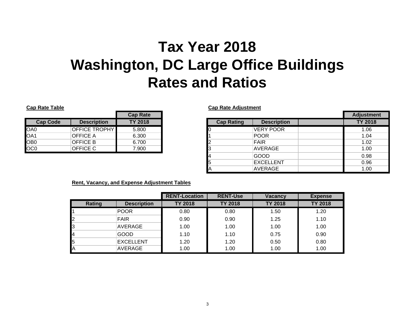## **Tax Year 2018Washington, DC Large Office Buildings Rates and Ratios**

|                 |                      | <b>Cap Rate</b> |   |
|-----------------|----------------------|-----------------|---|
| <b>Cap Code</b> | <b>Description</b>   | <b>TY 2018</b>  |   |
| OA0             | <b>OFFICE TROPHY</b> | 5.800           |   |
| OA1             | <b>OFFICE A</b>      | 6.300           |   |
| OB <sub>0</sub> | OFFICE B             | 6.700           | 2 |
| OC <sub>0</sub> | OFFICE C             | 7.900           | 3 |

**Cap Rate Table Cap Rate Adjustment**

|                 |                      | <b>Cap Rate</b> |                   |                    | <b>Adjustment</b> |
|-----------------|----------------------|-----------------|-------------------|--------------------|-------------------|
| <b>Cap Code</b> | <b>Description</b>   | <b>TY 2018</b>  | <b>Cap Rating</b> | <b>Description</b> | <b>TY 2018</b>    |
| OA0             | <b>OFFICE TROPHY</b> | 5.800           |                   | <b>VERY POOR</b>   | 1.06              |
| OA1             | <b>OFFICE A</b>      | 6.300           |                   | <b>POOR</b>        | 1.04              |
| OB0             | <b>OFFICE B</b>      | 6.700           |                   | <b>FAIR</b>        | 1.02              |
| OCO             | OFFICE C             | 7.900           |                   | <b>AVERAGE</b>     | 1.00              |
|                 |                      |                 |                   | <b>GOOD</b>        | 0.98              |
|                 |                      |                 |                   | <b>EXCELLENT</b>   | 0.96              |
|                 |                      |                 |                   | AVERAGE            | 1.00              |

### **Rent, Vacancy, and Expense Adjustment Tables**

|                |                    | <b>RENT-Location</b> | <b>RENT-Use</b> | <b>Vacancy</b> | <b>Expense</b> |
|----------------|--------------------|----------------------|-----------------|----------------|----------------|
| Rating         | <b>Description</b> | <b>TY 2018</b>       | <b>TY 2018</b>  | <b>TY 2018</b> | <b>TY 2018</b> |
|                | <b>POOR</b>        | 0.80                 | 0.80            | 1.50           | 1.20           |
| 2              | <b>FAIR</b>        | 0.90                 | 0.90            | 1.25           | 1.10           |
| 3              | AVERAGE            | 1.00                 | 1.00            | 1.00           | 1.00           |
| 4              | <b>GOOD</b>        | 1.10                 | 1.10            | 0.75           | 0.90           |
| I <sub>5</sub> | <b>EXCELLENT</b>   | 1.20                 | 1.20            | 0.50           | 0.80           |
| <b>I</b> A     | AVERAGE            | 1.00                 | 1.00            | 1.00           | 1.00           |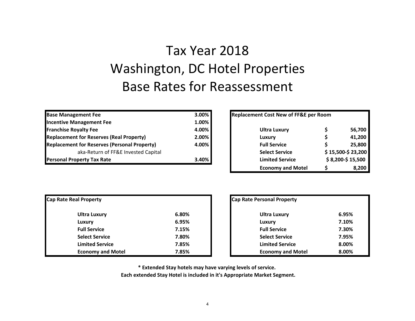### Tax Year 2018Washington, DC Hotel Properties Base Rates for Reassessment

| <b>Base Management Fee</b>                          | 3.00%    | Replacement Cost New of FF&E per Room |                   |
|-----------------------------------------------------|----------|---------------------------------------|-------------------|
| <b>Incentive Management Fee</b>                     | $1.00\%$ |                                       |                   |
| <b>Franchise Royalty Fee</b>                        | 4.00%    | <b>Ultra Luxury</b>                   | 56,700            |
| <b>Replacement for Reserves (Real Property)</b>     | 2.00%    | Luxury                                | 41,200            |
| <b>Replacement for Reserves (Personal Property)</b> | 4.00%    | <b>Full Service</b>                   | 25,800            |
| aka-Return of FF&E Invested Capital                 |          | <b>Select Service</b>                 | \$15,500-\$23,200 |
| <b>Personal Property Tax Rate</b>                   | 3.40%    | <b>Limited Service</b>                | \$8,200-\$15,500  |

|                            | 3.00% | <b>Replacement Cost New of FF&amp;E per Room</b> |                   |
|----------------------------|-------|--------------------------------------------------|-------------------|
| t Feel                     | 1.00% |                                                  |                   |
|                            | 4.00% | <b>Ultra Luxury</b>                              | 56,700            |
| ves (Real Property)        | 2.00% | Luxury                                           | 41,200            |
| ves (Personal Property)    | 4.00% | <b>Full Service</b>                              | 25,800            |
| n of FF&E Invested Capital |       | <b>Select Service</b>                            | \$15,500-\$23,200 |
| Rate                       | 3.40% | <b>Limited Service</b>                           | $$8,200-\$15,500$ |
|                            |       | <b>Economy and Motel</b>                         | 8,200             |

| Cap Rate Real Property   | Cap Rate Personal Property |                          |       |
|--------------------------|----------------------------|--------------------------|-------|
| <b>Ultra Luxury</b>      | 6.80%                      | Ultra Luxury             | 6.95% |
| Luxury                   | 6.95%                      | Luxury                   | 7.10% |
| <b>Full Service</b>      | 7.15%                      | <b>Full Service</b>      | 7.30% |
| <b>Select Service</b>    | 7.80%                      | <b>Select Service</b>    | 7.95% |
| <b>Limited Service</b>   | 7.85%                      | <b>Limited Service</b>   | 8.00% |
| <b>Economy and Motel</b> | 7.85%                      | <b>Economy and Motel</b> | 8.00% |

| operty         |       | Cap Rate Personal Property |       |
|----------------|-------|----------------------------|-------|
| a Luxury       | 6.80% | <b>Ultra Luxury</b>        | 6.95% |
| ury            | 6.95% | Luxury                     | 7.10% |
| <b>Service</b> | 7.15% | <b>Full Service</b>        | 7.30% |
| ct Service     | 7.80% | <b>Select Service</b>      | 7.95% |
| ited Service   | 7.85% | <b>Limited Service</b>     | 8.00% |
| nomy and Motel | 7.85% | <b>Economy and Motel</b>   | 8.00% |

**\* Extended Stay hotels may have varying levels of service.**

**Each extended Stay Hotel is included in it's Appropriate Market Segment.**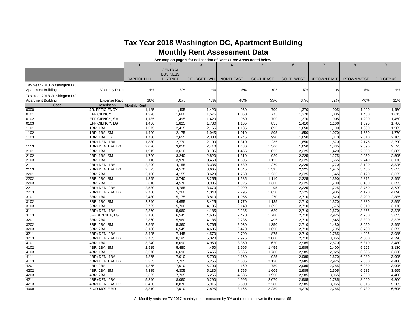### **Tax Year 2018 Washington DC, Apartment Building Monthly Rent Assessment Data**

**See map on page 9 for delineation of Rent Curve Areas noted below.**

|                                                           |                              | $\overline{1}$      | $\overline{2}$                    | 3                 | $\overline{4}$   | 5                | 6                | $\overline{7}$ | 8                       | 9              |
|-----------------------------------------------------------|------------------------------|---------------------|-----------------------------------|-------------------|------------------|------------------|------------------|----------------|-------------------------|----------------|
|                                                           |                              |                     | <b>CENTRAL</b><br><b>BUSINESS</b> |                   |                  |                  |                  |                |                         |                |
|                                                           |                              | <b>CAPITOL HILL</b> | <b>DISTRICT</b>                   | <b>GEORGETOWN</b> | <b>NORTHEAST</b> | <b>SOUTHEAST</b> | <b>SOUTHWEST</b> |                | UPTOWN EAST UPTOWN WEST | OLD CITY #2    |
| Tax Year 2018 Washington DC,<br><b>Apartment Building</b> | Vacancy Ratio                | 4%                  | 5%                                | 4%                | 5%               | 6%               | 5%               | 4%             | 5%                      | 4%             |
| Tax Year 2018 Washington DC,<br><b>Apartment Building</b> | <b>Expense Ratio</b>         | 36%                 | 31%                               | 40%               | 48%              | 55%              | 37%              | 52%            | 40%                     | 31%            |
| Code                                                      | <b>Description</b>           | <b>Monthly Rent</b> |                                   |                   |                  |                  |                  |                |                         |                |
| 0000                                                      | <b>JR. EFFICIENCY</b>        | 1,185               | 1,495                             | 1,420             | 950              | 700              | 1,370            | 905            | 1,290                   | 1,450          |
| 0101                                                      | <b>EFFICIENCY</b>            | 1,320               | 1,660                             | 1,575             | 1,050            | 775              | 1,370            | 1,005          | 1,430                   | 1,615          |
| 0102                                                      | EFFICIENCY, SM               | 1,185               | 1,495                             | 1,420             | 950              | 700              | 1,370            | 905            | 1,290                   | 1,450          |
| 0103                                                      | EFFICIENCY, LG               | 1,450               | 1,825                             | 1,730             | 1,165            | 855              | 1,410            | 1,100          | 1,575                   | 1,780          |
| 1101                                                      | 1BR, 1BA                     | 1,575               | 2,415                             | 2,165             | 1,135            | 895              | 1,650            | 1,190          | 1,830                   | 1,965          |
| 1102                                                      | 1BR, 1BA, SM                 | 1,420               | 2,175                             | 1,945             | 1,010            | 805              | 1,650            | 1,070          | 1,650                   | 1,770          |
| 1103                                                      | 1BR, 1BA, LG                 | 1,730               | 2,655                             | 2,380             | 1,245            | 990              | 1,650            | 1,310          | 2,010                   | 2,165          |
| 1111                                                      | 1BR+DEN, 1BA                 | 1,880               | 2,770                             | 2,190             | 1,310            | 1,235            | 1,650            | 1,670          | 2,175                   | 2,290          |
| 1113                                                      | 1BR+DEN 1BA, LG              | 2,070               | 3,050                             | 2,410             | 1,430            | 1,360            | 1,650            | 1,835          | 2,390                   | 2,525          |
| 2101                                                      | 2BR, 1BA                     | 1,915               | 3,610                             | 3,135             | 1,455            | 1,025            | 2,225            | 1,420          | 2,500                   | 2,885          |
| 2102                                                      | 2BR, 1BA, SM                 | 1,720               | 3,240                             | 2,820             | 1,310            | 920              | 2,225            | 1,275          | 2,250                   | 2,595          |
| 2103                                                      | 2BR, 1BA, LG                 | 2,110               | 3,970                             | 3,450             | 1,605            | 1,125            | 2,225            | 1,565          | 2,740                   | 3,170          |
| 2111                                                      | 2BR+DEN, 1BA                 | 2,290               | 4,155                             | 3,335             | 1,680            | 1,270            | 2,225            | 1,770          | 3,120                   | 3,325          |
| 2113                                                      | 2BR+DEN 1BA, LG              | 2,525               | 4,570                             | 3,665             | 1,845            | 1,395            | 2,225            | 1,945          | 3,430                   | 3,655          |
| 2201                                                      | 2BR, 2BA                     | 2,100               | 4,155                             | 3,620             | 1,750            | 1,235            | 2,225            | 1,545          | 3,120                   | 3,325          |
| 2202                                                      | 2BR, 2BA, SM                 | 1,895               | 3,740                             | 3,255             | 1,585            | 1,110            | 2,225            | 1,390          | 2,815                   | 2,995          |
| 2203                                                      | 2BR, 2BA, LG                 | 2,310               | 4,570                             | 3,985             | 1,925            | 1,360            | 2,225            | 1,700          | 3,430                   | 3,655          |
| 2211                                                      | 2BR+DEN, 2BA                 | 2,530               | 4,765                             | 3,670             | 2,090            | 1,495            | 2,225            | 1,725          | 3,750                   | 3,720          |
| 2213                                                      | 2BR+DEN 2BA, LG              | 2,780               | 5,260                             | 4,040             | 2,295            | 1,650            | 2,225            | 1,905          | 4,120                   | 4,090          |
| 3101                                                      | 3BR, 1BA                     | 2,480               | 5,175                             | 3,810             | 1,955            | 1,270            | 2,710            | 1,520          | 3,200                   | 2,885          |
| 3102                                                      | 3BR, 1BA, SM                 | 2,240               | 4,655                             | 3,425             | 1,770            | 1,135            | 2,710            | 1,370          | 2,880                   | 2,595          |
| 3103                                                      | 3BR, 1BA, LG                 | 2,725               | 5,700                             | 4,185             | 2,140            | 1,395            | 2,710            | 1,675          | 3,510                   | 3,170          |
| 3111                                                      | 3BR+DEN, 1BA                 | 2,860               | 5,960                             | 4,185             | 2,235            | 1,620            | 2,710            | 2,670          | 3,865                   | 3,325<br>3,655 |
| 3113                                                      | 3R+DEN 1BA, LG               | 3,130               | 6,545                             | 4,605             | 2,470            | 1,780            | 2,710            | 2,925          | 4,250                   |                |
| 3201                                                      | 3BR, 2BA                     | 2,860               | 5,960                             | 4,185             | 2,235            | 1,495            | 2,710            | 1,645          | 3,390                   | 3,325          |
| 3202<br>3203                                              | 3BR, 2BA, SM<br>3BR, 2BA, LG | 2,565<br>3,130      | 5,360<br>6,545                    | 3,765<br>4,605    | 2,030<br>2,470   | 1,350<br>1,650   | 2,710<br>2,710   | 1,480<br>1,795 | 3,050<br>3,730          | 2,995<br>3,655 |
| 3211                                                      | 3BR+DEN, 2BA                 | 3,425               | 7,445                             | 4,570             | 2,700            | 1,875            | 2,710            | 2,785          | 4,095                   | 3,985          |
| 3213                                                      | 3BR+DEN 2BA, LG              | 3,765               | 8,195                             | 5,020             | 2,975            | 2,060            | 2,710            | 3,065          | 4,500                   | 4,390          |
| 4101                                                      | 4BR, 1BA                     | 3,240               | 6,090                             | 4,950             | 3,350            | 1,620            | 2,985            | 2,670          | 5,810                   | 3,480          |
| 4102                                                      | 4BR, 1BA, SM                 | 2,915               | 5,480                             | 4,450             | 2,995            | 1,455            | 2,985            | 2,400          | 5,225                   | 3,130          |
| 4103                                                      | 4BR, 1BA, LG                 | 3,570               | 6,690                             | 5,455             | 3,665            | 1,780            | 2,985            | 2,925          | 6,385                   | 3,830          |
| 4111                                                      | 4BR+DEN, 1BA                 | 4,875               | 7,010                             | 5,700             | 4,160            | 1,925            | 2,985            | 2,670          | 6,980                   | 3,995          |
| 4113                                                      | 4BR+DEN 1BA, LG              | 5,355               | 7,705                             | 6,255             | 4,585            | 2,120            | 2,985            | 2,925          | 7,660                   | 4,400          |
| 4201                                                      | 4BR, 2BA                     | 4,875               | 7,010                             | 5,700             | 4,160            | 1,780            | 2,985            | 2,785          | 6,980                   | 3,995          |
| 4202                                                      | 4BR, 2BA, SM                 | 4,385               | 6,305                             | 5,130             | 3,755            | 1,605            | 2,985            | 2,505          | 6,285                   | 3,595          |
| 4203                                                      | 4BR, 2BA, LG                 | 5,355               | 7,705                             | 6,255             | 4,585            | 1,950            | 2,985            | 3,065          | 7,660                   | 4,400          |
| 4211                                                      | 4BR+DEN, 2BA                 | 5,840               | 8,060                             | 6,290             | 4,995            | 2,070            | 2,985            | 2,785          | 8,020                   | 4,800          |
| 4213                                                      | 4BR+DEN 2BA, LG              | 6,420               | 8,870                             | 6,915             | 5,500            | 2,280            | 2,985            | 3,065          | 8,815                   | 5,285          |
| 4999                                                      | 5 OR MORE BR                 | 3,810               | 7,010                             | 7,825             | 3,165            | 2,280            | 4,270            | 2,785          | 9,730                   | 6,695          |
|                                                           |                              |                     |                                   |                   |                  |                  |                  |                |                         |                |

All Monthly rents are TY 2017 monthly rents increased by 3% and rounded down to the nearest \$5.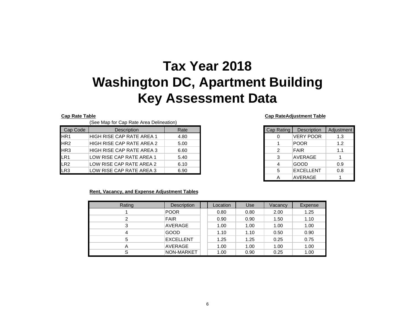### **Tax Year 2018 Washington DC, Apartment Building Key Assessment Data**

| Cap Code        | <b>Description</b>        |      |
|-----------------|---------------------------|------|
|                 |                           | Rate |
|                 | HIGH RISE CAP RATE AREA 1 | 4.80 |
| HR <sub>2</sub> | HIGH RISE CAP RATE AREA 2 | 5.00 |
| HR <sub>3</sub> | HIGH RISE CAP RATE AREA 3 | 6.60 |
| LR <sub>1</sub> | LOW RISE CAP RATE AREA 1  | 5.40 |
| LR2             | LOW RISE CAP RATE AREA 2  | 6.10 |
| LR3             | LOW RISE CAP RATE AREA 3  | 6.90 |

#### **Cap Rate Table Cap RateAdjustment Table**

| Cap Rating     | Description      | Adjustment |
|----------------|------------------|------------|
| 0              | <b>VERY POOR</b> | 1.3        |
| 1              | <b>POOR</b>      | 1.2        |
| 2              | <b>FAIR</b>      | 1.1        |
| 3              | <b>AVERAGE</b>   |            |
| $\overline{4}$ | GOOD             | 0.9        |
| 5              | <b>EXCELLENT</b> | 0.8        |
| Δ              | <b>AVERAGE</b>   |            |

### **Rent, Vacancy, and Expense Adjustment Tables**

| Rating | <b>Description</b> |  | Location | Use  | Vacancy | Expense |
|--------|--------------------|--|----------|------|---------|---------|
|        | <b>POOR</b>        |  | 0.80     | 0.80 | 2.00    | 1.25    |
| 2      | <b>FAIR</b>        |  | 0.90     | 0.90 | 1.50    | 1.10    |
| 3      | AVERAGE            |  | 1.00     | 1.00 | 1.00    | 1.00    |
| 4      | GOOD               |  | 1.10     | 1.10 | 0.50    | 0.90    |
| 5      | <b>EXCELLENT</b>   |  | 1.25     | 1.25 | 0.25    | 0.75    |
| А      | AVERAGE            |  | 1.00     | 1.00 | 1.00    | 1.00    |
| S      | NON-MARKET         |  | 1.00     | 0.90 | 0.25    | 1.00    |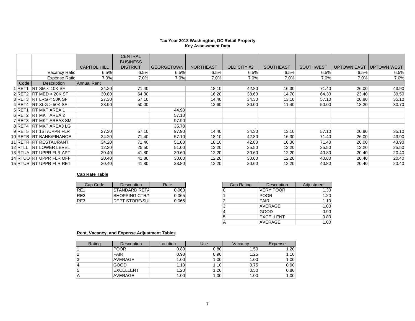#### **Tax Year 2018 Washington, DC Retail Property Key Assessment Data**

|                   |                            |                     | <b>CENTRAL</b><br><b>BUSINESS</b> |                   |                  |             |                  |                  |         |                          |
|-------------------|----------------------------|---------------------|-----------------------------------|-------------------|------------------|-------------|------------------|------------------|---------|--------------------------|
|                   |                            | <b>CAPITOL HILL</b> | <b>DISTRICT</b>                   | <b>GEORGETOWN</b> | <b>NORTHEAST</b> | OLD CITY #2 | <b>SOUTHEAST</b> | <b>SOUTHWEST</b> |         | UPTOWN EAST TUPTOWN WEST |
|                   | Vacancy Ratio              | 6.5%                | 6.5%                              | 6.5%              | 6.5%             | 6.5%        | 6.5%             | 6.5%             | 6.5%    | 6.5%                     |
|                   | Expense Ratio              | 7.0%                | 7.0%                              | 7.0%              | 7.0%             | 7.0%        | $7.0\%$          | $7.0\%$          | $7.0\%$ | 7.0%                     |
| Code              | <b>Description</b>         | Annual Rent         |                                   |                   |                  |             |                  |                  |         |                          |
| 1 <sub>RET1</sub> | RT SM < 10K SF             | 34.20               | 71.40                             |                   | 18.10            | 42.80       | 16.30            | 71.40            | 26.00   | 43.90                    |
|                   | $2$ RET2 RT MED < 20K SF   | 30.80               | 64.30                             |                   | 16.20            | 38.60       | 14.70            | 64.30            | 23.40   | 39.50                    |
|                   | $3$ RET3 RT LRG < 50K SF   | 27.30               | 57.10                             |                   | 14.40            | 34.30       | 13.10            | 57.10            | 20.80   | 35.10                    |
|                   | $4$ RET4 RT XLG $>$ 50K SF | 23.90               | 50.00                             |                   | 12.60            | 30.00       | 11.40            | 50.00            | 18.20   | 30.70                    |
| 5RET <sub>1</sub> | <b>RT MKT AREA 1</b>       |                     |                                   | 44.90             |                  |             |                  |                  |         |                          |
|                   | 6 RET2 RT MKT AREA 2       |                     |                                   | 57.10             |                  |             |                  |                  |         |                          |
|                   | 7 RET3 RT MKT AREA3 SM     |                     |                                   | 97.90             |                  |             |                  |                  |         |                          |
|                   | 8 RET4 RT MKT AREA3 LG     |                     |                                   | 35.70             |                  |             |                  |                  |         |                          |
|                   | 9 RET5 RT 1ST/UPPR FLR     | 27.30               | 57.10                             | 97.90             | 14.40            | 34.30       | 13.10            | 57.10            | 20.80   | 35.10                    |
|                   | 10 RETB RT BANK/FINANCE    | 34.20               | 71.40                             | 57.10             | 18.10            | 42.80       | 16.30            | 71.40            | 26.00   | 43.90                    |
|                   | 11 RETR RT RESTAURANT      | 34.20               | 71.40                             | 51.00             | 18.10            | 42.80       | 16.30            | 71.40            | 26.00   | 43.90                    |
| 12 RTLL           | <b>RT LOWER LEVEL</b>      | 12.20               | 25.50                             | 51.00             | 12.20            | 25.50       | 12.20            | 25.50            | 12.20   | 25.50                    |
|                   | 13 RTUA  RT UPPR FLR APT   | 20.40               | 41.80                             | 30.60             | 12.20            | 30.60       | 12.20            | 40.80            | 20.40   | 20.40                    |
|                   | 14 RTUO RT UPPR FLR OFF    | 20.40               | 41.80                             | 30.60             | 12.20            | 30.60       | 12.20            | 40.80            | 20.40   | 20.40                    |
|                   | 15 RTUR RT UPPR FLR RET    | 20.40               | 41.80                             | 38.80             | 12.20            | 30.60       | 12.20            | 40.80            | 20.40   | 20.40                    |

### **Cap Rate Table**

| Cap Code | Description           | Rate  |  |  |
|----------|-----------------------|-------|--|--|
| RF1      | STANDARD RETA         | 0.063 |  |  |
| RF2      | <b>SHOPPING CTR/I</b> | 0.065 |  |  |
| RE3      | <b>DEPT STORE/SUI</b> | 0.065 |  |  |

| Cap Code | <b>Description</b>    | Rate  |
|----------|-----------------------|-------|
|          | ISTANDARD RETA        | 0.063 |
|          | SHOPPING CTR/I        | 0.065 |
|          | <b>DEPT STORE/SUI</b> | 0.065 |
|          |                       |       |
|          |                       |       |
|          |                       |       |
|          |                       |       |

### **Rent, Vacancy, and Expense Adjustment Tables**

| Rating | <b>Description</b> | Location | Use  | Vacancv | Expense |
|--------|--------------------|----------|------|---------|---------|
|        | <b>POOR</b>        | 0.80     | 0.80 | 1.50    | 1.20    |
|        | <b>FAIR</b>        | 0.90     | 0.90 | 1.25    | 1.10    |
| د      | AVERAGE            | 1.00     | 1.00 | 1.00    | 1.00    |
| 4      | GOOD               | 1.10     | 1.10 | 0.75    | 0.90    |
| 5      | <b>EXCELLENT</b>   | 1.20     | 1.20 | 0.50    | 0.80    |
| A      | AVERAGE            | 1.00     | 1.00 | 1.00    | 1.00    |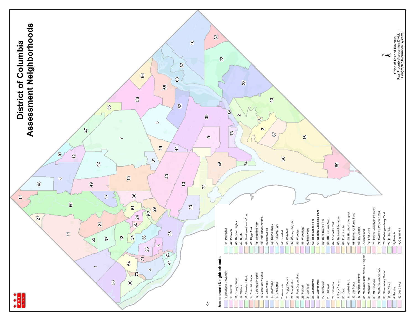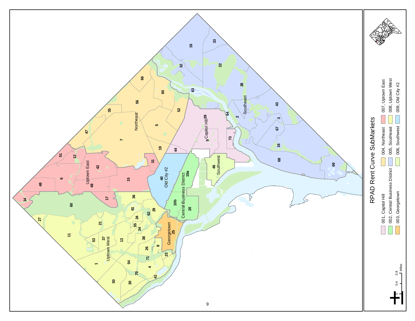